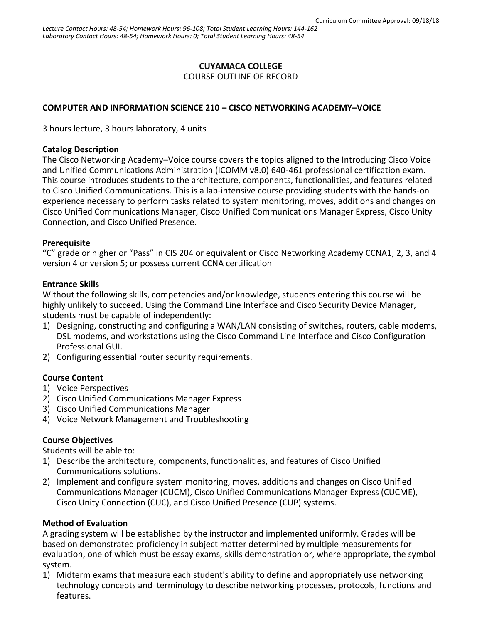# **CUYAMACA COLLEGE**

COURSE OUTLINE OF RECORD

## **COMPUTER AND INFORMATION SCIENCE 210 – CISCO NETWORKING ACADEMY–VOICE**

3 hours lecture, 3 hours laboratory, 4 units

#### **Catalog Description**

The Cisco Networking Academy–Voice course covers the topics aligned to the Introducing Cisco Voice and Unified Communications Administration (ICOMM v8.0) 640-461 professional certification exam. This course introduces students to the architecture, components, functionalities, and features related to Cisco Unified Communications. This is a lab-intensive course providing students with the hands-on experience necessary to perform tasks related to system monitoring, moves, additions and changes on Cisco Unified Communications Manager, Cisco Unified Communications Manager Express, Cisco Unity Connection, and Cisco Unified Presence.

### **Prerequisite**

"C" grade or higher or "Pass" in CIS 204 or equivalent or Cisco Networking Academy CCNA1, 2, 3, and 4 version 4 or version 5; or possess current CCNA certification

### **Entrance Skills**

Without the following skills, competencies and/or knowledge, students entering this course will be highly unlikely to succeed. Using the Command Line Interface and Cisco Security Device Manager, students must be capable of independently:

- 1) Designing, constructing and configuring a WAN/LAN consisting of switches, routers, cable modems, DSL modems, and workstations using the Cisco Command Line Interface and Cisco Configuration Professional GUI.
- 2) Configuring essential router security requirements.

### **Course Content**

- 1) Voice Perspectives
- 2) Cisco Unified Communications Manager Express
- 3) Cisco Unified Communications Manager
- 4) Voice Network Management and Troubleshooting

### **Course Objectives**

Students will be able to:

- 1) Describe the architecture, components, functionalities, and features of Cisco Unified Communications solutions.
- 2) Implement and configure system monitoring, moves, additions and changes on Cisco Unified Communications Manager (CUCM), Cisco Unified Communications Manager Express (CUCME), Cisco Unity Connection (CUC), and Cisco Unified Presence (CUP) systems.

### **Method of Evaluation**

A grading system will be established by the instructor and implemented uniformly. Grades will be based on demonstrated proficiency in subject matter determined by multiple measurements for evaluation, one of which must be essay exams, skills demonstration or, where appropriate, the symbol system.

1) Midterm exams that measure each student's ability to define and appropriately use networking technology concepts and terminology to describe networking processes, protocols, functions and features.